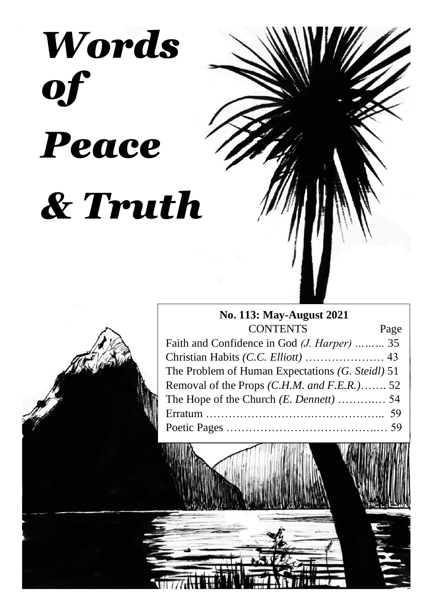# *Words of Peace & Truth*

## **No. 113: May-August 2021** CONTENTS Page Faith and Confidence in God *(J. Harper) ………* 35 Christian Habits *(C.C. Elliott)* ………………… 43

| Cliffsuali Havits (C.C. <i>Etholf)</i> 45        |  |
|--------------------------------------------------|--|
| The Problem of Human Expectations (G. Steidl) 51 |  |
| Removal of the Props $(C.H.M.$ and $F.E.R.$ )52  |  |
|                                                  |  |
|                                                  |  |
|                                                  |  |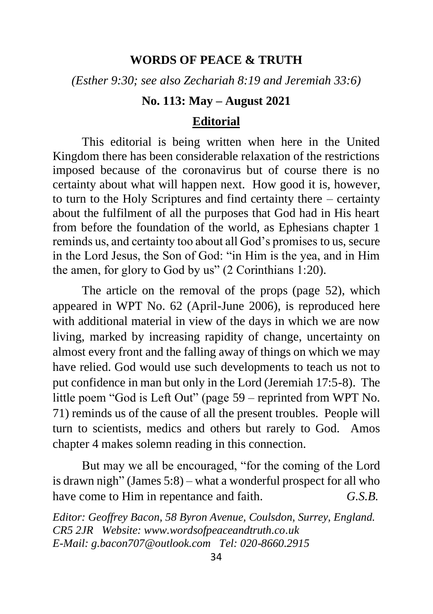## **WORDS OF PEACE & TRUTH**

*(Esther 9:30; see also Zechariah 8:19 and Jeremiah 33:6)*

## **No. 113: May – August 2021**

## **Editorial**

This editorial is being written when here in the United Kingdom there has been considerable relaxation of the restrictions imposed because of the coronavirus but of course there is no certainty about what will happen next. How good it is, however, to turn to the Holy Scriptures and find certainty there – certainty about the fulfilment of all the purposes that God had in His heart from before the foundation of the world, as Ephesians chapter 1 reminds us, and certainty too about all God's promises to us, secure in the Lord Jesus, the Son of God: "in Him is the yea, and in Him the amen, for glory to God by us" (2 Corinthians 1:20).

The article on the removal of the props (page 52), which appeared in WPT No. 62 (April-June 2006), is reproduced here with additional material in view of the days in which we are now living, marked by increasing rapidity of change, uncertainty on almost every front and the falling away of things on which we may have relied. God would use such developments to teach us not to put confidence in man but only in the Lord (Jeremiah 17:5-8). The little poem "God is Left Out" (page 59 – reprinted from WPT No. 71) reminds us of the cause of all the present troubles. People will turn to scientists, medics and others but rarely to God. Amos chapter 4 makes solemn reading in this connection.

But may we all be encouraged, "for the coming of the Lord is drawn nigh" (James 5:8) – what a wonderful prospect for all who have come to Him in repentance and faith. *G.S.B.*

*Editor: Geoffrey Bacon, 58 Byron Avenue, Coulsdon, Surrey, England. CR5 2JR Website: www.wordsofpeaceandtruth.co.uk E-Mail: g.bacon707@outlook.com Tel: 020-8660.2915*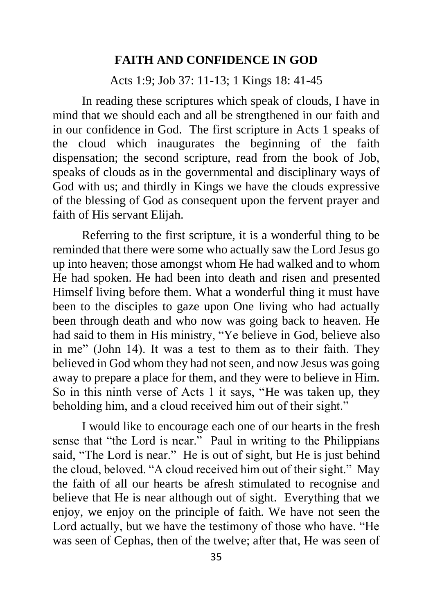### **FAITH AND CONFIDENCE IN GOD**

Acts 1:9; Job 37: 11-13; 1 Kings 18: 41-45

In reading these scriptures which speak of clouds, I have in mind that we should each and all be strengthened in our faith and in our confidence in God. The first scripture in Acts 1 speaks of the cloud which inaugurates the beginning of the faith dispensation; the second scripture, read from the book of Job, speaks of clouds as in the governmental and disciplinary ways of God with us; and thirdly in Kings we have the clouds expressive of the blessing of God as consequent upon the fervent prayer and faith of His servant Elijah.

Referring to the first scripture, it is a wonderful thing to be reminded that there were some who actually saw the Lord Jesus go up into heaven; those amongst whom He had walked and to whom He had spoken. He had been into death and risen and presented Himself living before them. What a wonderful thing it must have been to the disciples to gaze upon One living who had actually been through death and who now was going back to heaven. He had said to them in His ministry, "Ye believe in God, believe also in me" (John 14). It was a test to them as to their faith. They believed in God whom they had not seen, and now Jesus was going away to prepare a place for them, and they were to believe in Him. So in this ninth verse of Acts 1 it says, "He was taken up, they beholding him, and a cloud received him out of their sight."

I would like to encourage each one of our hearts in the fresh sense that "the Lord is near." Paul in writing to the Philippians said, "The Lord is near." He is out of sight, but He is just behind the cloud, beloved. "A cloud received him out of their sight." May the faith of all our hearts be afresh stimulated to recognise and believe that He is near although out of sight. Everything that we enjoy, we enjoy on the principle of faith. We have not seen the Lord actually, but we have the testimony of those who have. "He was seen of Cephas, then of the twelve; after that, He was seen of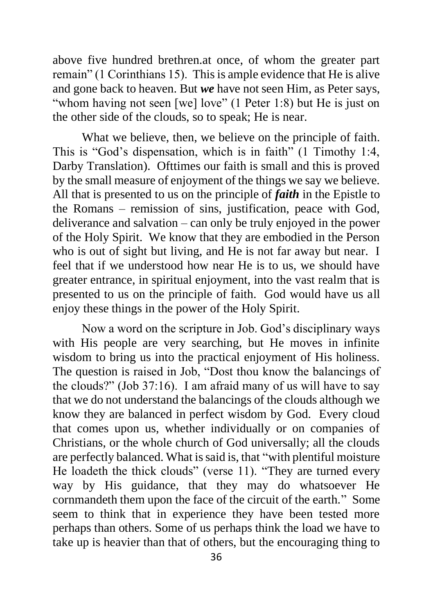above five hundred brethren.at once, of whom the greater part remain" (1 Corinthians 15). This is ample evidence that He is alive and gone back to heaven. But *we* have not seen Him, as Peter says, "whom having not seen [we] love" (1 Peter 1:8) but He is just on the other side of the clouds, so to speak; He is near.

What we believe, then, we believe on the principle of faith. This is "God's dispensation, which is in faith" (1 Timothy 1:4, Darby Translation). Ofttimes our faith is small and this is proved by the small measure of enjoyment of the things we say we believe. All that is presented to us on the principle of *faith* in the Epistle to the Romans – remission of sins, justification, peace with God, deliverance and salvation – can only be truly enjoyed in the power of the Holy Spirit. We know that they are embodied in the Person who is out of sight but living, and He is not far away but near. I feel that if we understood how near He is to us, we should have greater entrance, in spiritual enjoyment, into the vast realm that is presented to us on the principle of faith. God would have us all enjoy these things in the power of the Holy Spirit.

Now a word on the scripture in Job. God's disciplinary ways with His people are very searching, but He moves in infinite wisdom to bring us into the practical enjoyment of His holiness. The question is raised in Job, "Dost thou know the balancings of the clouds?" (Job 37:16). I am afraid many of us will have to say that we do not understand the balancings of the clouds although we know they are balanced in perfect wisdom by God. Every cloud that comes upon us, whether individually or on companies of Christians, or the whole church of God universally; all the clouds are perfectly balanced. What is said is, that "with plentiful moisture He loadeth the thick clouds" (verse 11). "They are turned every way by His guidance, that they may do whatsoever He cornmandeth them upon the face of the circuit of the earth." Some seem to think that in experience they have been tested more perhaps than others. Some of us perhaps think the load we have to take up is heavier than that of others, but the encouraging thing to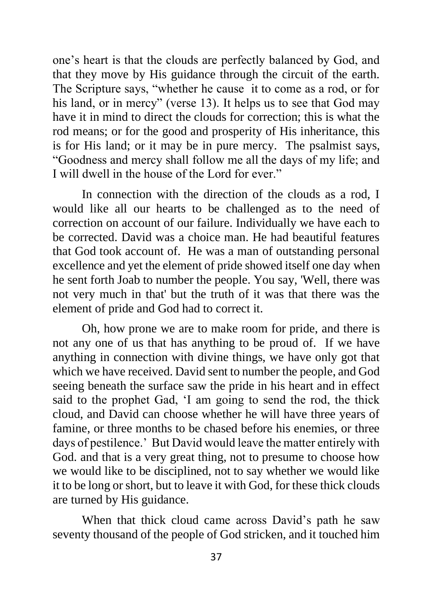one's heart is that the clouds are perfectly balanced by God, and that they move by His guidance through the circuit of the earth. The Scripture says, "whether he cause it to come as a rod, or for his land, or in mercy" (verse 13). It helps us to see that God may have it in mind to direct the clouds for correction; this is what the rod means; or for the good and prosperity of His inheritance, this is for His land; or it may be in pure mercy. The psalmist says, "Goodness and mercy shall follow me all the days of my life; and I will dwell in the house of the Lord for ever."

In connection with the direction of the clouds as a rod, I would like all our hearts to be challenged as to the need of correction on account of our failure. Individually we have each to be corrected. David was a choice man. He had beautiful features that God took account of. He was a man of outstanding personal excellence and yet the element of pride showed itself one day when he sent forth Joab to number the people. You say, 'Well, there was not very much in that' but the truth of it was that there was the element of pride and God had to correct it.

Oh, how prone we are to make room for pride, and there is not any one of us that has anything to be proud of. If we have anything in connection with divine things, we have only got that which we have received. David sent to number the people, and God seeing beneath the surface saw the pride in his heart and in effect said to the prophet Gad, 'I am going to send the rod, the thick cloud, and David can choose whether he will have three years of famine, or three months to be chased before his enemies, or three days of pestilence.' But David would leave the matter entirely with God. and that is a very great thing, not to presume to choose how we would like to be disciplined, not to say whether we would like it to be long or short, but to leave it with God, for these thick clouds are turned by His guidance.

When that thick cloud came across David's path he saw seventy thousand of the people of God stricken, and it touched him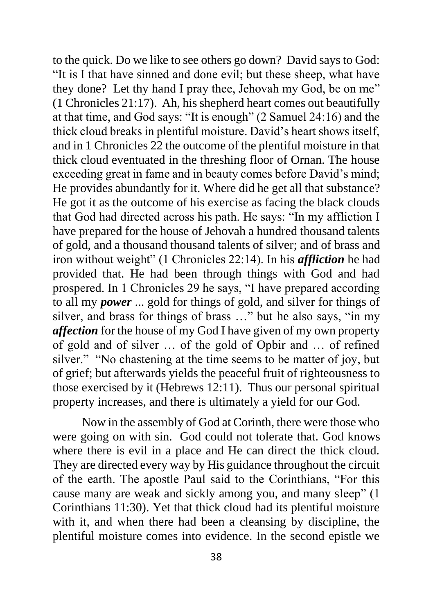to the quick. Do we like to see others go down? David says to God: "It is I that have sinned and done evil; but these sheep, what have they done? Let thy hand I pray thee, Jehovah my God, be on me" (1 Chronicles 21:17). Ah, his shepherd heart comes out beautifully at that time, and God says: "It is enough" (2 Samuel 24:16) and the thick cloud breaks in plentiful moisture. David's heart shows itself, and in 1 Chronicles 22 the outcome of the plentiful moisture in that thick cloud eventuated in the threshing floor of Ornan. The house exceeding great in fame and in beauty comes before David's mind; He provides abundantly for it. Where did he get all that substance? He got it as the outcome of his exercise as facing the black clouds that God had directed across his path. He says: "In my affliction I have prepared for the house of Jehovah a hundred thousand talents of gold, and a thousand thousand talents of silver; and of brass and iron without weight" (1 Chronicles 22:14). In his *affliction* he had provided that. He had been through things with God and had prospered. In 1 Chronicles 29 he says, "I have prepared according to all my *power* ... gold for things of gold, and silver for things of silver, and brass for things of brass …" but he also says, "in my *affection* for the house of my God I have given of my own property of gold and of silver … of the gold of Opbir and … of refined silver." "No chastening at the time seems to be matter of joy, but of grief; but afterwards yields the peaceful fruit of righteousness to those exercised by it (Hebrews 12:11). Thus our personal spiritual property increases, and there is ultimately a yield for our God.

Now in the assembly of God at Corinth, there were those who were going on with sin. God could not tolerate that. God knows where there is evil in a place and He can direct the thick cloud. They are directed every way by His guidance throughout the circuit of the earth. The apostle Paul said to the Corinthians, "For this cause many are weak and sickly among you, and many sleep" (1 Corinthians 11:30). Yet that thick cloud had its plentiful moisture with it, and when there had been a cleansing by discipline, the plentiful moisture comes into evidence. In the second epistle we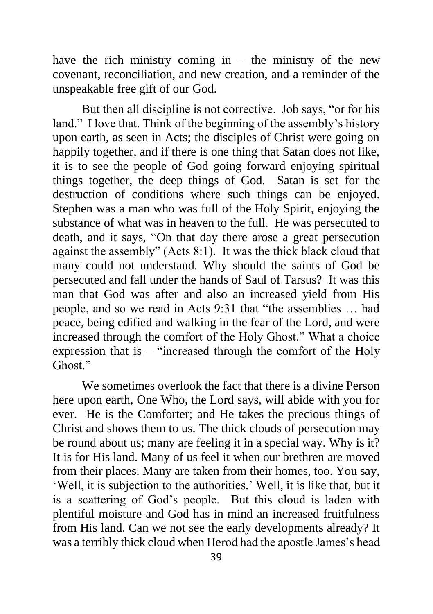have the rich ministry coming in  $-$  the ministry of the new covenant, reconciliation, and new creation, and a reminder of the unspeakable free gift of our God.

But then all discipline is not corrective. Job says, "or for his land." I love that. Think of the beginning of the assembly's history upon earth, as seen in Acts; the disciples of Christ were going on happily together, and if there is one thing that Satan does not like, it is to see the people of God going forward enjoying spiritual things together, the deep things of God. Satan is set for the destruction of conditions where such things can be enjoyed. Stephen was a man who was full of the Holy Spirit, enjoying the substance of what was in heaven to the full. He was persecuted to death, and it says, "On that day there arose a great persecution against the assembly" (Acts 8:1). It was the thick black cloud that many could not understand. Why should the saints of God be persecuted and fall under the hands of Saul of Tarsus? It was this man that God was after and also an increased yield from His people, and so we read in Acts 9:31 that "the assemblies … had peace, being edified and walking in the fear of the Lord, and were increased through the comfort of the Holy Ghost." What a choice expression that is – "increased through the comfort of the Holy Ghost<sup>"</sup>

We sometimes overlook the fact that there is a divine Person here upon earth, One Who, the Lord says, will abide with you for ever. He is the Comforter; and He takes the precious things of Christ and shows them to us. The thick clouds of persecution may be round about us; many are feeling it in a special way. Why is it? It is for His land. Many of us feel it when our brethren are moved from their places. Many are taken from their homes, too. You say, 'Well, it is subjection to the authorities.' Well, it is like that, but it is a scattering of God's people. But this cloud is laden with plentiful moisture and God has in mind an increased fruitfulness from His land. Can we not see the early developments already? It was a terribly thick cloud when Herod had the apostle James's head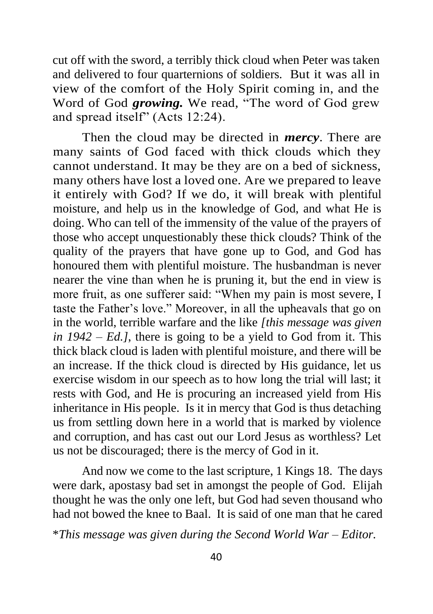cut off with the sword, a terribly thick cloud when Peter was taken and delivered to four quarternions of soldiers. But it was all in view of the comfort of the Holy Spirit coming in, and the Word of God *growing.* We read, "The word of God grew and spread itself" (Acts 12:24).

Then the cloud may be directed in *mercy*. There are many saints of God faced with thick clouds which they cannot understand. It may be they are on a bed of sickness, many others have lost a loved one. Are we prepared to leave it entirely with God? If we do, it will break with plentiful moisture, and help us in the knowledge of God, and what He is doing. Who can tell of the immensity of the value of the prayers of those who accept unquestionably these thick clouds? Think of the quality of the prayers that have gone up to God, and God has honoured them with plentiful moisture. The husbandman is never nearer the vine than when he is pruning it, but the end in view is more fruit, as one sufferer said: "When my pain is most severe, I taste the Father's love." Moreover, in all the upheavals that go on in the world, terrible warfare and the like *[this message was given in 1942 – Ed.]*, there is going to be a yield to God from it. This thick black cloud is laden with plentiful moisture, and there will be an increase. If the thick cloud is directed by His guidance, let us exercise wisdom in our speech as to how long the trial will last; it rests with God, and He is procuring an increased yield from His inheritance in His people. Is it in mercy that God is thus detaching us from settling down here in a world that is marked by violence and corruption, and has cast out our Lord Jesus as worthless? Let us not be discouraged; there is the mercy of God in it.

And now we come to the last scripture, 1 Kings 18. The days were dark, apostasy bad set in amongst the people of God. Elijah thought he was the only one left, but God had seven thousand who had not bowed the knee to Baal. It is said of one man that he cared

\**This message was given during the Second World War – Editor.*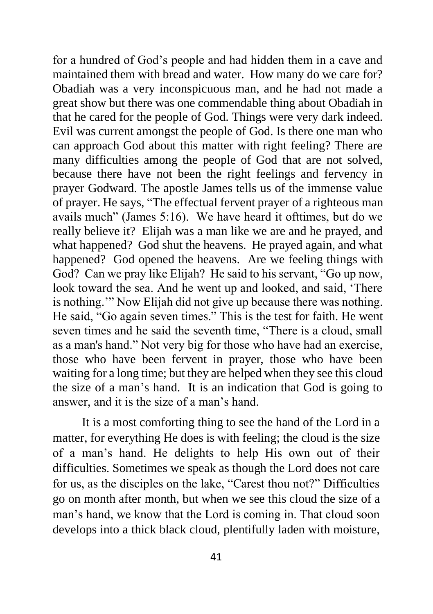for a hundred of God's people and had hidden them in a cave and maintained them with bread and water. How many do we care for? Obadiah was a very inconspicuous man, and he had not made a great show but there was one commendable thing about Obadiah in that he cared for the people of God. Things were very dark indeed. Evil was current amongst the people of God. Is there one man who can approach God about this matter with right feeling? There are many difficulties among the people of God that are not solved, because there have not been the right feelings and fervency in prayer Godward. The apostle James tells us of the immense value of prayer. He says, "The effectual fervent prayer of a righteous man avails much" (James 5:16). We have heard it ofttimes, but do we really believe it? Elijah was a man like we are and he prayed, and what happened? God shut the heavens. He prayed again, and what happened? God opened the heavens. Are we feeling things with God? Can we pray like Elijah? He said to his servant, "Go up now, look toward the sea. And he went up and looked, and said, 'There is nothing.'" Now Elijah did not give up because there was nothing. He said, "Go again seven times." This is the test for faith. He went seven times and he said the seventh time, "There is a cloud, small as a man's hand." Not very big for those who have had an exercise, those who have been fervent in prayer, those who have been waiting for a long time; but they are helped when they see this cloud the size of a man's hand. It is an indication that God is going to answer, and it is the size of a man's hand.

It is a most comforting thing to see the hand of the Lord in a matter, for everything He does is with feeling; the cloud is the size of a man's hand. He delights to help His own out of their difficulties. Sometimes we speak as though the Lord does not care for us, as the disciples on the lake, "Carest thou not?" Difficulties go on month after month, but when we see this cloud the size of a man's hand, we know that the Lord is coming in. That cloud soon develops into a thick black cloud, plentifully laden with moisture,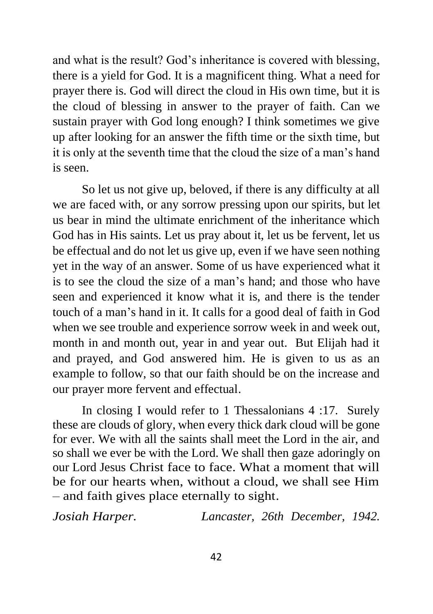and what is the result? God's inheritance is covered with blessing, there is a yield for God. It is a magnificent thing. What a need for prayer there is. God will direct the cloud in His own time, but it is the cloud of blessing in answer to the prayer of faith. Can we sustain prayer with God long enough? I think sometimes we give up after looking for an answer the fifth time or the sixth time, but it is only at the seventh time that the cloud the size of a man's hand is seen.

So let us not give up, beloved, if there is any difficulty at all we are faced with, or any sorrow pressing upon our spirits, but let us bear in mind the ultimate enrichment of the inheritance which God has in His saints. Let us pray about it, let us be fervent, let us be effectual and do not let us give up, even if we have seen nothing yet in the way of an answer. Some of us have experienced what it is to see the cloud the size of a man's hand; and those who have seen and experienced it know what it is, and there is the tender touch of a man's hand in it. It calls for a good deal of faith in God when we see trouble and experience sorrow week in and week out, month in and month out, year in and year out. But Elijah had it and prayed, and God answered him. He is given to us as an example to follow, so that our faith should be on the increase and our prayer more fervent and effectual.

In closing I would refer to 1 Thessalonians 4 :17. Surely these are clouds of glory, when every thick dark cloud will be gone for ever. We with all the saints shall meet the Lord in the air, and so shall we ever be with the Lord. We shall then gaze adoringly on our Lord Jesus Christ face to face. What a moment that will be for our hearts when, without a cloud, we shall see Him – and faith gives place eternally to sight.

*Josiah Harper. Lancaster, 26th December, 1942.*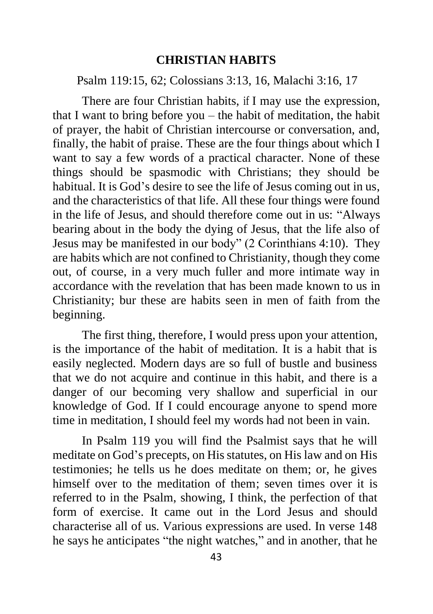### **CHRISTIAN HABITS**

Psalm 119:15, 62; Colossians 3:13, 16, Malachi 3:16, 17

There are four Christian habits, if I may use the expression, that I want to bring before you – the habit of meditation, the habit of prayer, the habit of Christian intercourse or conversation, and, finally, the habit of praise. These are the four things about which I want to say a few words of a practical character. None of these things should be spasmodic with Christians; they should be habitual. It is God's desire to see the life of Jesus coming out in us, and the characteristics of that life. All these four things were found in the life of Jesus, and should therefore come out in us: "Always bearing about in the body the dying of Jesus, that the life also of Jesus may be manifested in our body" (2 Corinthians 4:10). They are habits which are not confined to Christianity, though they come out, of course, in a very much fuller and more intimate way in accordance with the revelation that has been made known to us in Christianity; bur these are habits seen in men of faith from the beginning.

The first thing, therefore, I would press upon your attention, is the importance of the habit of meditation. It is a habit that is easily neglected. Modern days are so full of bustle and business that we do not acquire and continue in this habit, and there is a danger of our becoming very shallow and superficial in our knowledge of God. If I could encourage anyone to spend more time in meditation, I should feel my words had not been in vain.

In Psalm 119 you will find the Psalmist says that he will meditate on God's precepts, on His statutes, on His law and on His testimonies; he tells us he does meditate on them; or, he gives himself over to the meditation of them; seven times over it is referred to in the Psalm, showing, I think, the perfection of that form of exercise. It came out in the Lord Jesus and should characterise all of us. Various expressions are used. In verse 148 he says he anticipates "the night watches," and in another, that he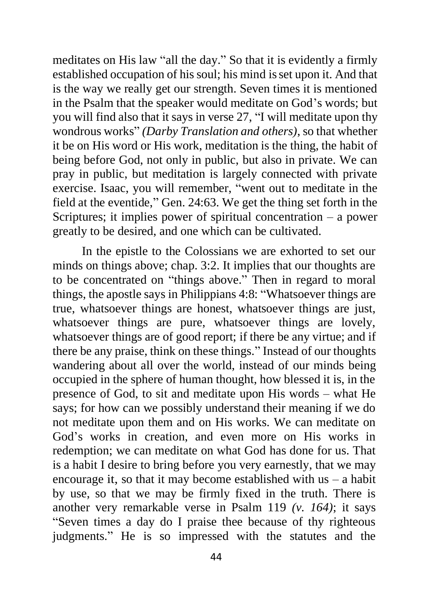meditates on His law "all the day." So that it is evidently a firmly established occupation of his soul; his mind isset upon it. And that is the way we really get our strength. Seven times it is mentioned in the Psalm that the speaker would meditate on God's words; but you will find also that it says in verse 27, "I will meditate upon thy wondrous works" *(Darby Translation and others)*, so that whether it be on His word or His work, meditation is the thing, the habit of being before God, not only in public, but also in private. We can pray in public, but meditation is largely connected with private exercise. Isaac, you will remember, "went out to meditate in the field at the eventide," Gen. 24:63. We get the thing set forth in the Scriptures; it implies power of spiritual concentration – a power greatly to be desired, and one which can be cultivated.

In the epistle to the Colossians we are exhorted to set our minds on things above; chap. 3:2. It implies that our thoughts are to be concentrated on "things above." Then in regard to moral things, the apostle says in Philippians 4:8: "Whatsoever things are true, whatsoever things are honest, whatsoever things are just, whatsoever things are pure, whatsoever things are lovely, whatsoever things are of good report; if there be any virtue; and if there be any praise, think on these things." Instead of our thoughts wandering about all over the world, instead of our minds being occupied in the sphere of human thought, how blessed it is, in the presence of God, to sit and meditate upon His words – what He says; for how can we possibly understand their meaning if we do not meditate upon them and on His works. We can meditate on God's works in creation, and even more on His works in redemption; we can meditate on what God has done for us. That is a habit I desire to bring before you very earnestly, that we may encourage it, so that it may become established with us – a habit by use, so that we may be firmly fixed in the truth. There is another very remarkable verse in Psalm 119 *(v. 164)*; it says "Seven times a day do I praise thee because of thy righteous judgments." He is so impressed with the statutes and the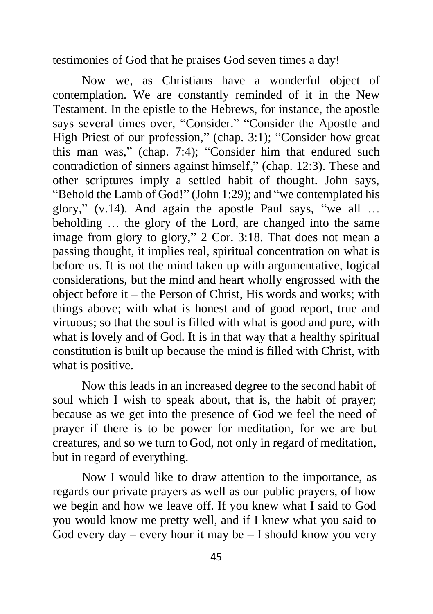testimonies of God that he praises God seven times a day!

Now we, as Christians have a wonderful object of contemplation. We are constantly reminded of it in the New Testament. In the epistle to the Hebrews, for instance, the apostle says several times over, "Consider." "Consider the Apostle and High Priest of our profession," (chap. 3:1); "Consider how great this man was," (chap. 7:4); "Consider him that endured such contradiction of sinners against himself," (chap. 12:3). These and other scriptures imply a settled habit of thought. John says, "Behold the Lamb of God!" (John 1:29); and "we contemplated his glory," (v.14). And again the apostle Paul says, "we all … beholding … the glory of the Lord, are changed into the same image from glory to glory," 2 Cor. 3:18. That does not mean a passing thought, it implies real, spiritual concentration on what is before us. It is not the mind taken up with argumentative, logical considerations, but the mind and heart wholly engrossed with the object before it – the Person of Christ, His words and works; with things above; with what is honest and of good report, true and virtuous; so that the soul is filled with what is good and pure, with what is lovely and of God. It is in that way that a healthy spiritual constitution is built up because the mind is filled with Christ, with what is positive.

Now this leads in an increased degree to the second habit of soul which I wish to speak about, that is, the habit of prayer; because as we get into the presence of God we feel the need of prayer if there is to be power for meditation, for we are but creatures, and so we turn to God, not only in regard of meditation, but in regard of everything.

Now I would like to draw attention to the importance, as regards our private prayers as well as our public prayers, of how we begin and how we leave off. If you knew what I said to God you would know me pretty well, and if I knew what you said to God every day – every hour it may be  $-$  I should know you very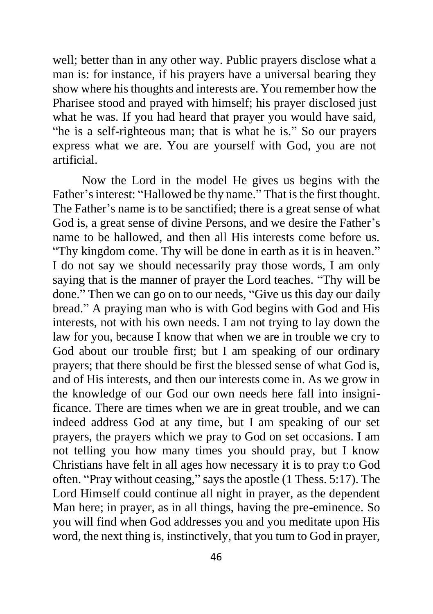well; better than in any other way. Public prayers disclose what a man is: for instance, if his prayers have a universal bearing they show where his thoughts and interests are. You remember how the Pharisee stood and prayed with himself; his prayer disclosed just what he was. If you had heard that prayer you would have said, "he is a self-righteous man; that is what he is." So our prayers express what we are. You are yourself with God, you are not artificial.

Now the Lord in the model He gives us begins with the Father's interest: "Hallowed be thy name." That is the first thought. The Father's name is to be sanctified; there is a great sense of what God is, a great sense of divine Persons, and we desire the Father's name to be hallowed, and then all His interests come before us. "Thy kingdom come. Thy will be done in earth as it is in heaven." I do not say we should necessarily pray those words, I am only saying that is the manner of prayer the Lord teaches. "Thy will be done." Then we can go on to our needs, "Give us this day our daily bread." A praying man who is with God begins with God and His interests, not with his own needs. I am not trying to lay down the law for you, because I know that when we are in trouble we cry to God about our trouble first; but I am speaking of our ordinary prayers; that there should be first the blessed sense of what God is, and of His interests, and then our interests come in. As we grow in the knowledge of our God our own needs here fall into insignificance. There are times when we are in great trouble, and we can indeed address God at any time, but I am speaking of our set prayers, the prayers which we pray to God on set occasions. I am not telling you how many times you should pray, but I know Christians have felt in all ages how necessary it is to pray t:o God often. "Pray without ceasing," says the apostle (1 Thess. 5:17). The Lord Himself could continue all night in prayer, as the dependent Man here; in prayer, as in all things, having the pre-eminence. So you will find when God addresses you and you meditate upon His word, the next thing is, instinctively, that you tum to God in prayer,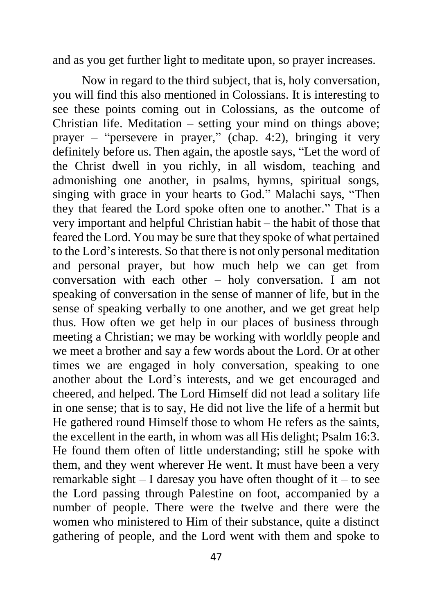and as you get further light to meditate upon, so prayer increases.

Now in regard to the third subject, that is, holy conversation, you will find this also mentioned in Colossians. It is interesting to see these points coming out in Colossians, as the outcome of Christian life. Meditation – setting your mind on things above; prayer – "persevere in prayer," (chap. 4:2), bringing it very definitely before us. Then again, the apostle says, "Let the word of the Christ dwell in you richly, in all wisdom, teaching and admonishing one another, in psalms, hymns, spiritual songs, singing with grace in your hearts to God." Malachi says, "Then they that feared the Lord spoke often one to another." That is a very important and helpful Christian habit – the habit of those that feared the Lord. You may be sure that they spoke of what pertained to the Lord's interests. So that there is not only personal meditation and personal prayer, but how much help we can get from conversation with each other – holy conversation. I am not speaking of conversation in the sense of manner of life, but in the sense of speaking verbally to one another, and we get great help thus. How often we get help in our places of business through meeting a Christian; we may be working with worldly people and we meet a brother and say a few words about the Lord. Or at other times we are engaged in holy conversation, speaking to one another about the Lord's interests, and we get encouraged and cheered, and helped. The Lord Himself did not lead a solitary life in one sense; that is to say, He did not live the life of a hermit but He gathered round Himself those to whom He refers as the saints, the excellent in the earth, in whom was all His delight; Psalm 16:3. He found them often of little understanding; still he spoke with them, and they went wherever He went. It must have been a very remarkable sight  $-$  I daresay you have often thought of it  $-$  to see the Lord passing through Palestine on foot, accompanied by a number of people. There were the twelve and there were the women who ministered to Him of their substance, quite a distinct gathering of people, and the Lord went with them and spoke to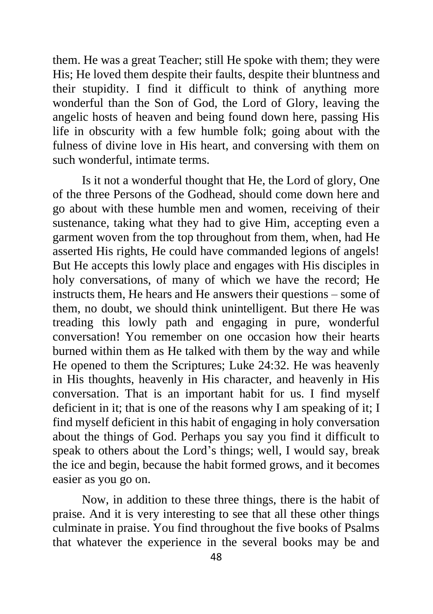them. He was a great Teacher; still He spoke with them; they were His; He loved them despite their faults, despite their bluntness and their stupidity. I find it difficult to think of anything more wonderful than the Son of God, the Lord of Glory, leaving the angelic hosts of heaven and being found down here, passing His life in obscurity with a few humble folk; going about with the fulness of divine love in His heart, and conversing with them on such wonderful, intimate terms.

Is it not a wonderful thought that He, the Lord of glory, One of the three Persons of the Godhead, should come down here and go about with these humble men and women, receiving of their sustenance, taking what they had to give Him, accepting even a garment woven from the top throughout from them, when, had He asserted His rights, He could have commanded legions of angels! But He accepts this lowly place and engages with His disciples in holy conversations, of many of which we have the record; He instructs them, He hears and He answers their questions – some of them, no doubt, we should think unintelligent. But there He was treading this lowly path and engaging in pure, wonderful conversation! You remember on one occasion how their hearts burned within them as He talked with them by the way and while He opened to them the Scriptures; Luke 24:32. He was heavenly in His thoughts, heavenly in His character, and heavenly in His conversation. That is an important habit for us. I find myself deficient in it; that is one of the reasons why I am speaking of it; I find myself deficient in this habit of engaging in holy conversation about the things of God. Perhaps you say you find it difficult to speak to others about the Lord's things; well, I would say, break the ice and begin, because the habit formed grows, and it becomes easier as you go on.

Now, in addition to these three things, there is the habit of praise. And it is very interesting to see that all these other things culminate in praise. You find throughout the five books of Psalms that whatever the experience in the several books may be and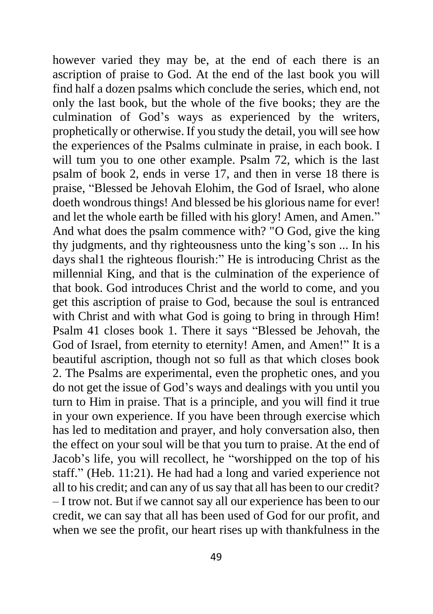however varied they may be, at the end of each there is an ascription of praise to God. At the end of the last book you will find half a dozen psalms which conclude the series, which end, not only the last book, but the whole of the five books; they are the culmination of God's ways as experienced by the writers, prophetically or otherwise. If you study the detail, you will see how the experiences of the Psalms culminate in praise, in each book. I will tum you to one other example. Psalm 72, which is the last psalm of book 2, ends in verse 17, and then in verse 18 there is praise, "Blessed be Jehovah Elohim, the God of Israel, who alone doeth wondrous things! And blessed be his glorious name for ever! and let the whole earth be filled with his glory! Amen, and Amen." And what does the psalm commence with? "O God, give the king thy judgments, and thy righteousness unto the king's son ... In his days shal1 the righteous flourish:" He is introducing Christ as the millennial King, and that is the culmination of the experience of that book. God introduces Christ and the world to come, and you get this ascription of praise to God, because the soul is entranced with Christ and with what God is going to bring in through Him! Psalm 41 closes book 1. There it says "Blessed be Jehovah, the God of Israel, from eternity to eternity! Amen, and Amen!" It is a beautiful ascription, though not so full as that which closes book 2. The Psalms are experimental, even the prophetic ones, and you do not get the issue of God's ways and dealings with you until you turn to Him in praise. That is a principle, and you will find it true in your own experience. If you have been through exercise which has led to meditation and prayer, and holy conversation also, then the effect on your soul will be that you turn to praise. At the end of Jacob's life, you will recollect, he "worshipped on the top of his staff." (Heb. 11:21). He had had a long and varied experience not all to his credit; and can any of us say that all has been to our credit? – I trow not. But if we cannot say all our experience has been to our credit, we can say that all has been used of God for our profit, and when we see the profit, our heart rises up with thankfulness in the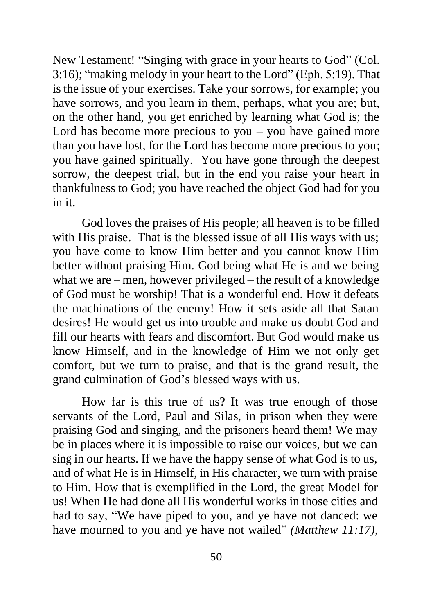New Testament! "Singing with grace in your hearts to God" (Col. 3:16); "making melody in your heart to the Lord" (Eph. 5:19). That is the issue of your exercises. Take your sorrows, for example; you have sorrows, and you learn in them, perhaps, what you are; but, on the other hand, you get enriched by learning what God is; the Lord has become more precious to you  $-$  you have gained more than you have lost, for the Lord has become more precious to you; you have gained spiritually. You have gone through the deepest sorrow, the deepest trial, but in the end you raise your heart in thankfulness to God; you have reached the object God had for you in it.

God loves the praises of His people; all heaven is to be filled with His praise. That is the blessed issue of all His ways with us; you have come to know Him better and you cannot know Him better without praising Him. God being what He is and we being what we are – men, however privileged – the result of a knowledge of God must be worship! That is a wonderful end. How it defeats the machinations of the enemy! How it sets aside all that Satan desires! He would get us into trouble and make us doubt God and fill our hearts with fears and discomfort. But God would make us know Himself, and in the knowledge of Him we not only get comfort, but we turn to praise, and that is the grand result, the grand culmination of God's blessed ways with us.

How far is this true of us? It was true enough of those servants of the Lord, Paul and Silas, in prison when they were praising God and singing, and the prisoners heard them! We may be in places where it is impossible to raise our voices, but we can sing in our hearts. If we have the happy sense of what God is to us, and of what He is in Himself, in His character, we turn with praise to Him. How that is exemplified in the Lord, the great Model for us! When He had done all His wonderful works in those cities and had to say, "We have piped to you, and ye have not danced: we have mourned to you and ye have not wailed" *(Matthew 11:17)*,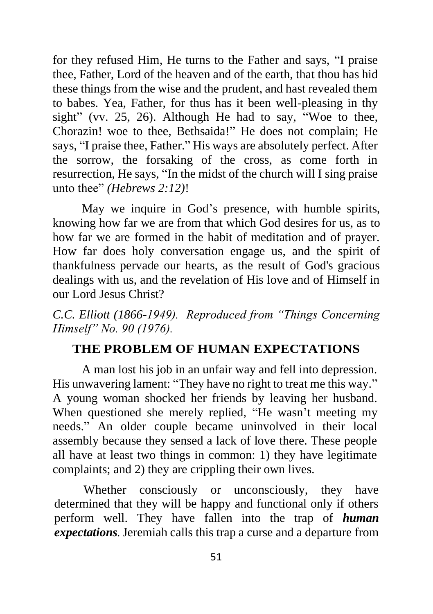for they refused Him, He turns to the Father and says, "I praise thee, Father, Lord of the heaven and of the earth, that thou has hid these things from the wise and the prudent, and hast revealed them to babes. Yea, Father, for thus has it been well-pleasing in thy sight" (vv. 25, 26). Although He had to say, "Woe to thee, Chorazin! woe to thee, Bethsaida!" He does not complain; He says, "I praise thee, Father." His ways are absolutely perfect. After the sorrow, the forsaking of the cross, as come forth in resurrection, He says, "In the midst of the church will I sing praise unto thee" *(Hebrews 2:12)*!

May we inquire in God's presence, with humble spirits, knowing how far we are from that which God desires for us, as to how far we are formed in the habit of meditation and of prayer. How far does holy conversation engage us, and the spirit of thankfulness pervade our hearts, as the result of God's gracious dealings with us, and the revelation of His love and of Himself in our Lord Jesus Christ?

*C.C. Elliott (1866-1949). Reproduced from "Things Concerning Himself" No. 90 (1976).*

## **THE PROBLEM OF HUMAN EXPECTATIONS**

A man lost his job in an unfair way and fell into depression. His unwavering lament: "They have no right to treat me this way." A young woman shocked her friends by leaving her husband. When questioned she merely replied, "He wasn't meeting my needs." An older couple became uninvolved in their local assembly because they sensed a lack of love there. These people all have at least two things in common: 1) they have legitimate complaints; and 2) they are crippling their own lives.

Whether consciously or unconsciously, they have determined that they will be happy and functional only if others perform well. They have fallen into the trap of *human expectations.* Jeremiah calls this trap a curse and a departure from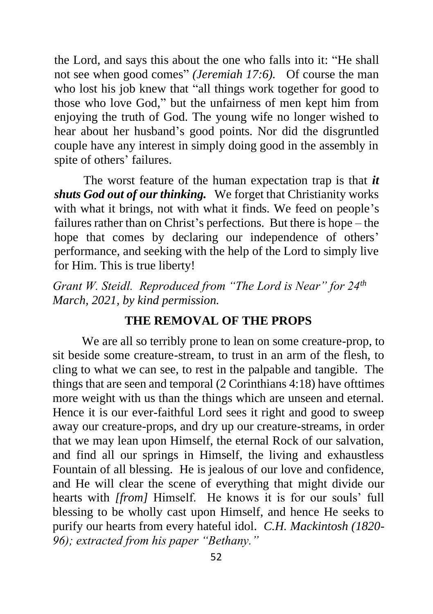the Lord, and says this about the one who falls into it: "He shall not see when good comes" *(Jeremiah 17:6).* Of course the man who lost his job knew that "all things work together for good to those who love God," but the unfairness of men kept him from enjoying the truth of God. The young wife no longer wished to hear about her husband's good points. Nor did the disgruntled couple have any interest in simply doing good in the assembly in spite of others' failures.

The worst feature of the human expectation trap is that *it shuts God out of our thinking.* We forget that Christianity works with what it brings, not with what it finds. We feed on people's failures rather than on Christ's perfections. But there is hope – the hope that comes by declaring our independence of others' performance, and seeking with the help of the Lord to simply live for Him. This is true liberty!

*Grant W. Steidl. Reproduced from "The Lord is Near" for 24th March, 2021, by kind permission.*

## **THE REMOVAL OF THE PROPS**

We are all so terribly prone to lean on some creature-prop, to sit beside some creature-stream, to trust in an arm of the flesh, to cling to what we can see, to rest in the palpable and tangible. The things that are seen and temporal (2 Corinthians 4:18) have ofttimes more weight with us than the things which are unseen and eternal. Hence it is our ever-faithful Lord sees it right and good to sweep away our creature-props, and dry up our creature-streams, in order that we may lean upon Himself, the eternal Rock of our salvation, and find all our springs in Himself, the living and exhaustless Fountain of all blessing. He is jealous of our love and confidence, and He will clear the scene of everything that might divide our hearts with *[from]* Himself. He knows it is for our souls' full blessing to be wholly cast upon Himself, and hence He seeks to purify our hearts from every hateful idol. *C.H. Mackintosh (1820- 96); extracted from his paper "Bethany."*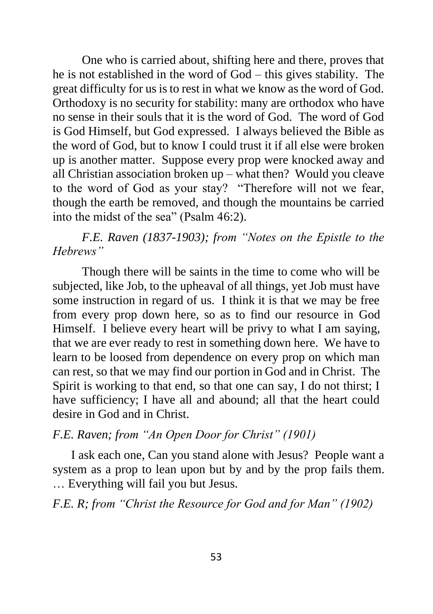One who is carried about, shifting here and there, proves that he is not established in the word of God – this gives stability. The great difficulty for us is to rest in what we know as the word of God. Orthodoxy is no security for stability: many are orthodox who have no sense in their souls that it is the word of God. The word of God is God Himself, but God expressed. I always believed the Bible as the word of God, but to know I could trust it if all else were broken up is another matter. Suppose every prop were knocked away and all Christian association broken up – what then? Would you cleave to the word of God as your stay? "Therefore will not we fear, though the earth be removed, and though the mountains be carried into the midst of the sea" (Psalm 46:2).

# *F.E. Raven (1837-1903); from "Notes on the Epistle to the Hebrews"*

Though there will be saints in the time to come who will be subjected, like Job, to the upheaval of all things, yet Job must have some instruction in regard of us. I think it is that we may be free from every prop down here, so as to find our resource in God Himself. I believe every heart will be privy to what I am saying, that we are ever ready to rest in something down here. We have to learn to be loosed from dependence on every prop on which man can rest, so that we may find our portion in God and in Christ. The Spirit is working to that end, so that one can say, I do not thirst; I have sufficiency; I have all and abound; all that the heart could desire in God and in Christ.

## *F.E. Raven; from "An Open Door for Christ" (1901)*

I ask each one, Can you stand alone with Jesus? People want a system as a prop to lean upon but by and by the prop fails them. … Everything will fail you but Jesus.

*F.E. R; from "Christ the Resource for God and for Man" (1902)*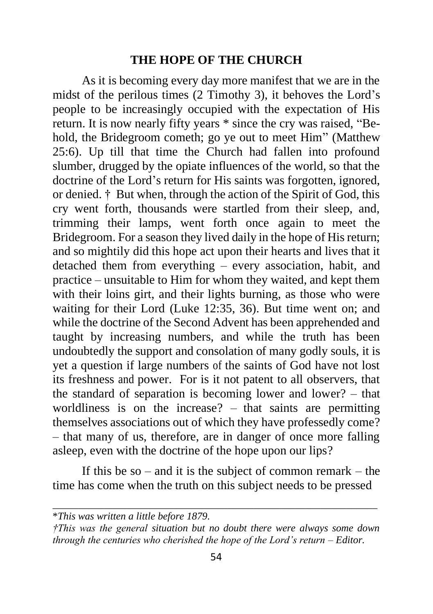## **THE HOPE OF THE CHURCH**

As it is becoming every day more manifest that we are in the midst of the perilous times (2 Timothy 3), it behoves the Lord's people to be increasingly occupied with the expectation of His return. It is now nearly fifty years \* since the cry was raised, "Behold, the Bridegroom cometh; go ye out to meet Him" (Matthew 25:6). Up till that time the Church had fallen into profound slumber, drugged by the opiate influences of the world, so that the doctrine of the Lord's return for His saints was forgotten, ignored, or denied. † But when, through the action of the Spirit of God, this cry went forth, thousands were startled from their sleep, and, trimming their lamps, went forth once again to meet the Bridegroom. For a season they lived daily in the hope of His return; and so mightily did this hope act upon their hearts and lives that it detached them from everything – every association, habit, and practice – unsuitable to Him for whom they waited, and kept them with their loins girt, and their lights burning, as those who were waiting for their Lord (Luke 12:35, 36). But time went on; and while the doctrine of the Second Advent has been apprehended and taught by increasing numbers, and while the truth has been undoubtedly the support and consolation of many godly souls, it is yet a question if large numbers of the saints of God have not lost its freshness and power. For is it not patent to all observers, that the standard of separation is becoming lower and lower? – that worldliness is on the increase? – that saints are permitting themselves associations out of which they have professedly come? – that many of us, therefore, are in danger of once more falling asleep, even with the doctrine of the hope upon our lips?

If this be so – and it is the subject of common remark – the time has come when the truth on this subject needs to be pressed

\_\_\_\_\_\_\_\_\_\_\_\_\_\_\_\_\_\_\_\_\_\_\_\_\_\_\_\_\_\_\_\_\_\_\_\_\_\_\_\_\_\_\_\_\_\_\_\_\_\_\_\_\_\_\_\_\_\_\_\_\_\_\_

<sup>\*</sup>*This was written a little before 1879.*

*<sup>†</sup>This was the general situation but no doubt there were always some down through the centuries who cherished the hope of the Lord's return – Editor.*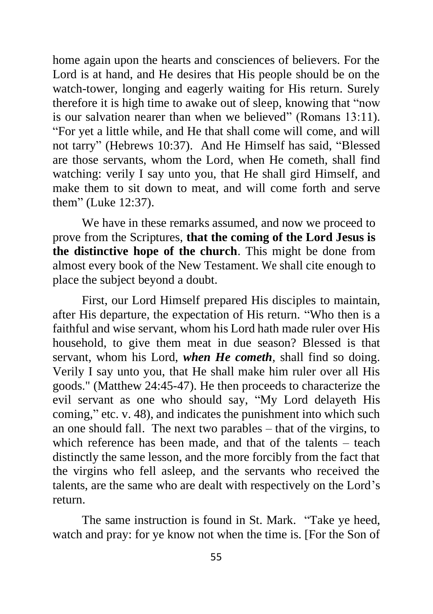home again upon the hearts and consciences of believers. For the Lord is at hand, and He desires that His people should be on the watch-tower, longing and eagerly waiting for His return. Surely therefore it is high time to awake out of sleep, knowing that "now is our salvation nearer than when we believed" (Romans 13:11). "For yet a little while, and He that shall come will come, and will not tarry" (Hebrews 10:37). And He Himself has said, "Blessed are those servants, whom the Lord, when He cometh, shall find watching: verily I say unto you, that He shall gird Himself, and make them to sit down to meat, and will come forth and serve them" (Luke 12:37).

We have in these remarks assumed, and now we proceed to prove from the Scriptures, **that the coming of the Lord Jesus is the distinctive hope of the church**. This might be done from almost every book of the New Testament. We shall cite enough to place the subject beyond a doubt.

First, our Lord Himself prepared His disciples to maintain, after His departure, the expectation of His return. "Who then is a faithful and wise servant, whom his Lord hath made ruler over His household, to give them meat in due season? Blessed is that servant, whom his Lord, *when He cometh*, shall find so doing. Verily I say unto you, that He shall make him ruler over all His goods." (Matthew 24:45-47). He then proceeds to characterize the evil servant as one who should say, "My Lord delayeth His coming," etc. v. 48), and indicates the punishment into which such an one should fall. The next two parables – that of the virgins, to which reference has been made, and that of the talents – teach distinctly the same lesson, and the more forcibly from the fact that the virgins who fell asleep, and the servants who received the talents, are the same who are dealt with respectively on the Lord's return.

The same instruction is found in St. Mark. "Take ye heed, watch and pray: for ye know not when the time is. [For the Son of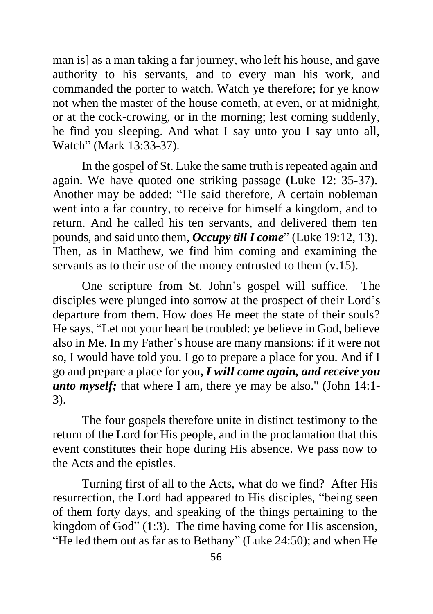man is] as a man taking a far journey, who left his house, and gave authority to his servants, and to every man his work, and commanded the porter to watch. Watch ye therefore; for ye know not when the master of the house cometh, at even, or at midnight, or at the cock-crowing, or in the morning; lest coming suddenly, he find you sleeping. And what I say unto you I say unto all, Watch" (Mark 13:33-37).

In the gospel of St. Luke the same truth is repeated again and again. We have quoted one striking passage (Luke 12: 35-37). Another may be added: "He said therefore, A certain nobleman went into a far country, to receive for himself a kingdom, and to return. And he called his ten servants, and delivered them ten pounds, and said unto them, *Occupy till I come*" (Luke 19:12, 13). Then, as in Matthew, we find him coming and examining the servants as to their use of the money entrusted to them  $(v.15)$ .

One scripture from St. John's gospel will suffice. The disciples were plunged into sorrow at the prospect of their Lord's departure from them. How does He meet the state of their souls? He says, "Let not your heart be troubled: ye believe in God, believe also in Me. In my Father's house are many mansions: if it were not so, I would have told you. I go to prepare a place for you. And if I go and prepare a place for you**,** *I will come again, and receive you unto myself*; that where I am, there ye may be also." (John 14:1-3).

The four gospels therefore unite in distinct testimony to the return of the Lord for His people, and in the proclamation that this event constitutes their hope during His absence. We pass now to the Acts and the epistles.

Turning first of all to the Acts, what do we find? After His resurrection, the Lord had appeared to His disciples, "being seen of them forty days, and speaking of the things pertaining to the kingdom of God" (1:3). The time having come for His ascension, "He led them out as far as to Bethany" (Luke 24:50); and when He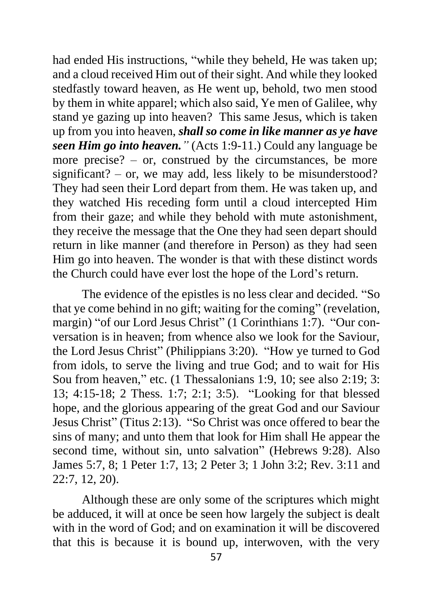had ended His instructions, "while they beheld, He was taken up; and a cloud received Him out of their sight. And while they looked stedfastly toward heaven, as He went up, behold, two men stood by them in white apparel; which also said, Ye men of Galilee, why stand ye gazing up into heaven? This same Jesus, which is taken up from you into heaven, *shall so come in like manner as ye have seen Him go into heaven."* (Acts 1:9-11.) Could any language be more precise? – or, construed by the circumstances, be more significant? – or, we may add, less likely to be misunderstood? They had seen their Lord depart from them. He was taken up, and they watched His receding form until a cloud intercepted Him from their gaze; and while they behold with mute astonishment, they receive the message that the One they had seen depart should return in like manner (and therefore in Person) as they had seen Him go into heaven. The wonder is that with these distinct words the Church could have ever lost the hope of the Lord's return.

The evidence of the epistles is no less clear and decided. "So that ye come behind in no gift; waiting for the coming" (revelation, margin) "of our Lord Jesus Christ" (1 Corinthians 1:7). "Our conversation is in heaven; from whence also we look for the Saviour, the Lord Jesus Christ" (Philippians 3:20). "How ye turned to God from idols, to serve the living and true God; and to wait for His Sou from heaven," etc. (1 Thessalonians 1:9, 10; see also 2:19; 3: 13; 4:15-18; 2 Thess. 1:7; 2:1; 3:5). "Looking for that blessed hope, and the glorious appearing of the great God and our Saviour Jesus Christ" (Titus 2:13). "So Christ was once offered to bear the sins of many; and unto them that look for Him shall He appear the second time, without sin, unto salvation" (Hebrews 9:28). Also James 5:7, 8; 1 Peter 1:7, 13; 2 Peter 3; 1 John 3:2; Rev. 3:11 and 22:7, 12, 20).

Although these are only some of the scriptures which might be adduced, it will at once be seen how largely the subject is dealt with in the word of God; and on examination it will be discovered that this is because it is bound up, interwoven, with the very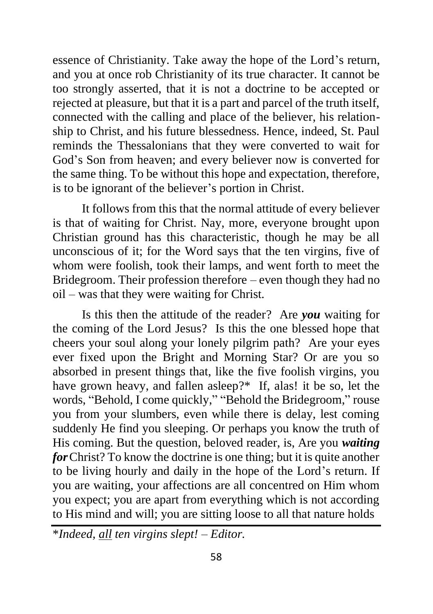essence of Christianity. Take away the hope of the Lord's return, and you at once rob Christianity of its true character. It cannot be too strongly asserted, that it is not a doctrine to be accepted or rejected at pleasure, but that it is a part and parcel of the truth itself, connected with the calling and place of the believer, his relationship to Christ, and his future blessedness. Hence, indeed, St. Paul reminds the Thessalonians that they were converted to wait for God's Son from heaven; and every believer now is converted for the same thing. To be without this hope and expectation, therefore, is to be ignorant of the believer's portion in Christ.

It follows from this that the normal attitude of every believer is that of waiting for Christ. Nay, more, everyone brought upon Christian ground has this characteristic, though he may be all unconscious of it; for the Word says that the ten virgins, five of whom were foolish, took their lamps, and went forth to meet the Bridegroom. Their profession therefore – even though they had no oil – was that they were waiting for Christ.

Is this then the attitude of the reader? Are *you* waiting for the coming of the Lord Jesus? Is this the one blessed hope that cheers your soul along your lonely pilgrim path? Are your eyes ever fixed upon the Bright and Morning Star? Or are you so absorbed in present things that, like the five foolish virgins, you have grown heavy, and fallen asleep?\* If, alas! it be so, let the words, "Behold, I come quickly," "Behold the Bridegroom," rouse you from your slumbers, even while there is delay, lest coming suddenly He find you sleeping. Or perhaps you know the truth of His coming. But the question, beloved reader, is, Are you *waiting for*Christ? To know the doctrine is one thing; but it is quite another to be living hourly and daily in the hope of the Lord's return. If you are waiting, your affections are all concentred on Him whom you expect; you are apart from everything which is not according to His mind and will; you are sitting loose to all that nature holds

\**Indeed, all ten virgins slept! – Editor.*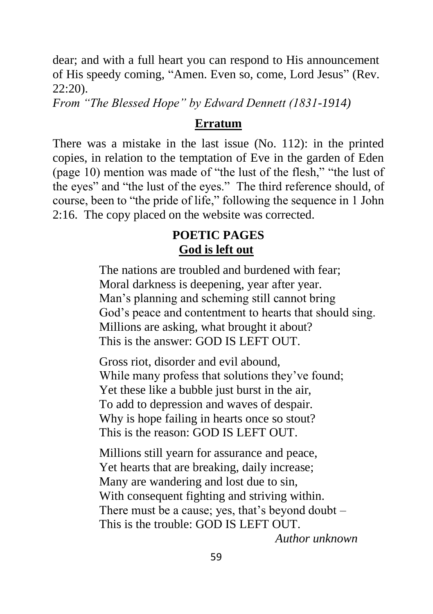dear; and with a full heart you can respond to His announcement of His speedy coming, "Amen. Even so, come, Lord Jesus" (Rev. 22:20).

*From "The Blessed Hope" by Edward Dennett (1831-1914)*

## **Erratum**

There was a mistake in the last issue (No. 112): in the printed copies, in relation to the temptation of Eve in the garden of Eden (page 10) mention was made of "the lust of the flesh," "the lust of the eyes" and "the lust of the eyes." The third reference should, of course, been to "the pride of life," following the sequence in 1 John 2:16. The copy placed on the website was corrected.

# **POETIC PAGES God is left out**

The nations are troubled and burdened with fear; Moral darkness is deepening, year after year. Man's planning and scheming still cannot bring God's peace and contentment to hearts that should sing. Millions are asking, what brought it about? This is the answer: GOD IS LEFT OUT.

Gross riot, disorder and evil abound, While many profess that solutions they've found; Yet these like a bubble just burst in the air, To add to depression and waves of despair. Why is hope failing in hearts once so stout? This is the reason: GOD IS LEFT OUT.

Millions still yearn for assurance and peace, Yet hearts that are breaking, daily increase; Many are wandering and lost due to sin, With consequent fighting and striving within. There must be a cause; yes, that's beyond doubt – This is the trouble: GOD IS LEFT OUT.

*Author unknown*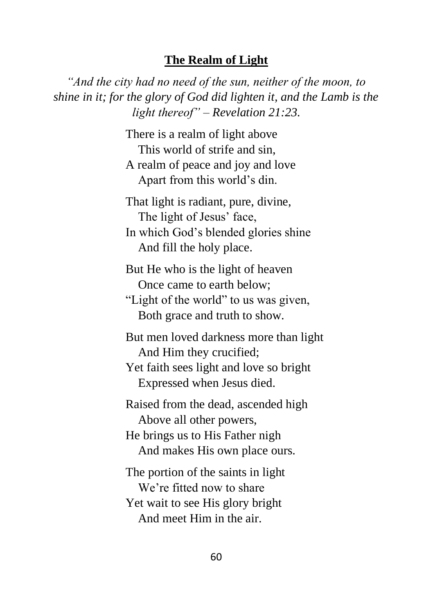## **The Realm of Light**

*"And the city had no need of the sun, neither of the moon, to shine in it; for the glory of God did lighten it, and the Lamb is the light thereof" – Revelation 21:23.*

> There is a realm of light above This world of strife and sin, A realm of peace and joy and love Apart from this world's din.

That light is radiant, pure, divine, The light of Jesus' face, In which God's blended glories shine

And fill the holy place.

But He who is the light of heaven Once came to earth below;

"Light of the world" to us was given, Both grace and truth to show.

But men loved darkness more than light And Him they crucified;

Yet faith sees light and love so bright Expressed when Jesus died.

Raised from the dead, ascended high Above all other powers,

He brings us to His Father nigh And makes His own place ours.

The portion of the saints in light We're fitted now to share Yet wait to see His glory bright And meet Him in the air.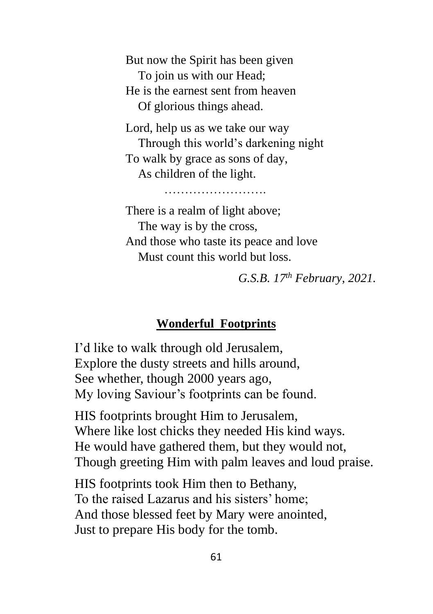But now the Spirit has been given To join us with our Head; He is the earnest sent from heaven Of glorious things ahead.

Lord, help us as we take our way Through this world's darkening night To walk by grace as sons of day, As children of the light.

There is a realm of light above; The way is by the cross, And those who taste its peace and love Must count this world but loss.

…………………….

*G.S.B. 17th February, 2021.*

# **Wonderful Footprints**

I'd like to walk through old Jerusalem, Explore the dusty streets and hills around, See whether, though 2000 years ago, My loving Saviour's footprints can be found.

HIS footprints brought Him to Jerusalem, Where like lost chicks they needed His kind ways. He would have gathered them, but they would not, Though greeting Him with palm leaves and loud praise.

HIS footprints took Him then to Bethany, To the raised Lazarus and his sisters' home; And those blessed feet by Mary were anointed, Just to prepare His body for the tomb.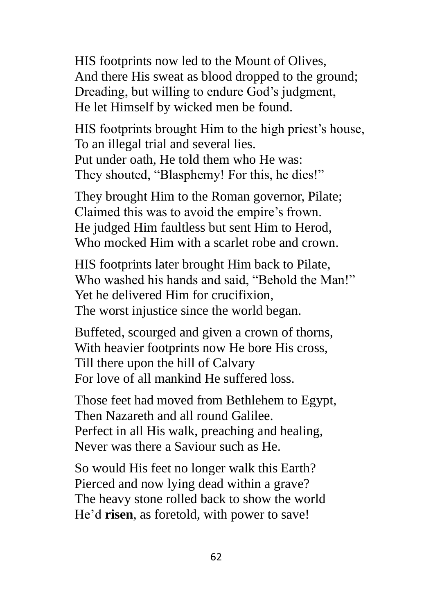HIS footprints now led to the Mount of Olives, And there His sweat as blood dropped to the ground; Dreading, but willing to endure God's judgment, He let Himself by wicked men be found.

HIS footprints brought Him to the high priest's house, To an illegal trial and several lies. Put under oath, He told them who He was: They shouted, "Blasphemy! For this, he dies!"

They brought Him to the Roman governor, Pilate; Claimed this was to avoid the empire's frown. He judged Him faultless but sent Him to Herod, Who mocked Him with a scarlet robe and crown.

HIS footprints later brought Him back to Pilate, Who washed his hands and said, "Behold the Man!" Yet he delivered Him for crucifixion, The worst injustice since the world began.

Buffeted, scourged and given a crown of thorns, With heavier footprints now He bore His cross, Till there upon the hill of Calvary For love of all mankind He suffered loss.

Those feet had moved from Bethlehem to Egypt, Then Nazareth and all round Galilee. Perfect in all His walk, preaching and healing, Never was there a Saviour such as He.

So would His feet no longer walk this Earth? Pierced and now lying dead within a grave? The heavy stone rolled back to show the world He'd **risen**, as foretold, with power to save!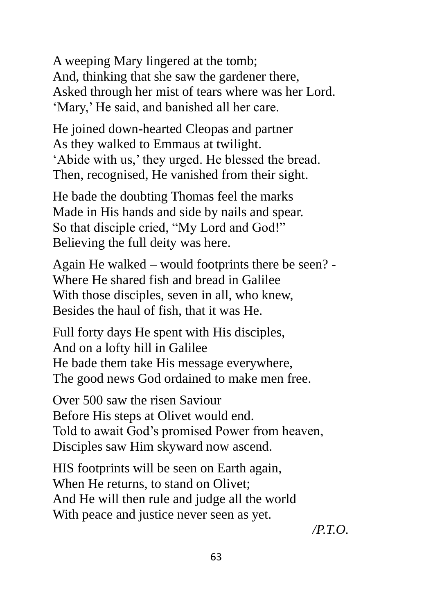A weeping Mary lingered at the tomb; And, thinking that she saw the gardener there, Asked through her mist of tears where was her Lord. 'Mary,' He said, and banished all her care.

He joined down-hearted Cleopas and partner As they walked to Emmaus at twilight. 'Abide with us,' they urged. He blessed the bread. Then, recognised, He vanished from their sight.

He bade the doubting Thomas feel the marks Made in His hands and side by nails and spear. So that disciple cried, "My Lord and God!" Believing the full deity was here.

Again He walked – would footprints there be seen? - Where He shared fish and bread in Galilee With those disciples, seven in all, who knew, Besides the haul of fish, that it was He.

Full forty days He spent with His disciples, And on a lofty hill in Galilee He bade them take His message everywhere, The good news God ordained to make men free.

Over 500 saw the risen Saviour Before His steps at Olivet would end. Told to await God's promised Power from heaven, Disciples saw Him skyward now ascend.

HIS footprints will be seen on Earth again, When He returns, to stand on Olivet: And He will then rule and judge all the world With peace and justice never seen as yet.

*/P.T.O.*